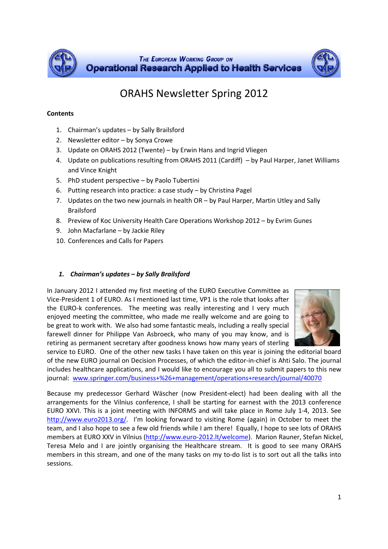



# ORAHS Newsletter Spring 2012

#### **Contents**

- 1. Chairman's updates by Sally Brailsford
- 2. Newsletter editor by Sonya Crowe
- 3. Update on ORAHS 2012 (Twente) by Erwin Hans and Ingrid Vliegen
- 4. Update on publications resulting from ORAHS 2011 (Cardiff) by Paul Harper, Janet Williams and Vince Knight
- 5. PhD student perspective by Paolo Tubertini
- 6. Putting research into practice: a case study by Christina Pagel
- 7. Updates on the two new journals in health OR by Paul Harper, Martin Utley and Sally Brailsford
- 8. Preview of Koc University Health Care Operations Workshop 2012 by Evrim Gunes
- 9. John Macfarlane by Jackie Riley
- 10. Conferences and Calls for Papers

#### 1. Chairman's updates – by Sally Brailsford

In January 2012 I attended my first meeting of the EURO Executive Committee as Vice-President 1 of EURO. As I mentioned last time, VP1 is the role that looks after the EURO-k conferences. The meeting was really interesting and I very much enjoyed meeting the committee, who made me really welcome and are going to be great to work with. We also had some fantastic meals, including a really special farewell dinner for Philippe Van Asbroeck, who many of you may know, and is retiring as permanent secretary after goodness knows how many years of sterling



service to EURO. One of the other new tasks I have taken on this year is joining the editorial board of the new EURO journal on Decision Processes, of which the editor-in-chief is Ahti Salo. The journal includes healthcare applications, and I would like to encourage you all to submit papers to this new journal: www.springer.com/business+%26+management/operations+research/journal/40070

Because my predecessor Gerhard Wäscher (now President-elect) had been dealing with all the arrangements for the Vilnius conference, I shall be starting for earnest with the 2013 conference EURO XXVI. This is a joint meeting with INFORMS and will take place in Rome July 1-4, 2013. See http://www.euro2013.org/. I'm looking forward to visiting Rome (again) in October to meet the team, and I also hope to see a few old friends while I am there! Equally, I hope to see lots of ORAHS members at EURO XXV in Vilnius (http://www.euro-2012.lt/welcome). Marion Rauner, Stefan Nickel, Teresa Melo and I are jointly organising the Healthcare stream. It is good to see many ORAHS members in this stream, and one of the many tasks on my to-do list is to sort out all the talks into sessions.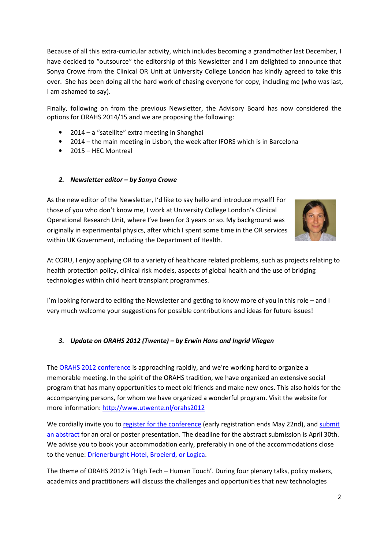Because of all this extra-curricular activity, which includes becoming a grandmother last December, I have decided to "outsource" the editorship of this Newsletter and I am delighted to announce that Sonya Crowe from the Clinical OR Unit at University College London has kindly agreed to take this over. She has been doing all the hard work of chasing everyone for copy, including me (who was last, I am ashamed to say).

Finally, following on from the previous Newsletter, the Advisory Board has now considered the options for ORAHS 2014/15 and we are proposing the following:

- 2014 a "satellite" extra meeting in Shanghai
- 2014 the main meeting in Lisbon, the week after IFORS which is in Barcelona
- 2015 HEC Montreal

#### 2. Newsletter editor – by Sonya Crowe

As the new editor of the Newsletter, I'd like to say hello and introduce myself! For those of you who don't know me, I work at University College London's Clinical Operational Research Unit, where I've been for 3 years or so. My background was originally in experimental physics, after which I spent some time in the OR services within UK Government, including the Department of Health.



At CORU, I enjoy applying OR to a variety of healthcare related problems, such as projects relating to health protection policy, clinical risk models, aspects of global health and the use of bridging technologies within child heart transplant programmes.

I'm looking forward to editing the Newsletter and getting to know more of you in this role – and I very much welcome your suggestions for possible contributions and ideas for future issues!

#### 3. Update on ORAHS 2012 (Twente) – by Erwin Hans and Ingrid Vliegen

The ORAHS 2012 conference is approaching rapidly, and we're working hard to organize a memorable meeting. In the spirit of the ORAHS tradition, we have organized an extensive social program that has many opportunities to meet old friends and make new ones. This also holds for the accompanying persons, for whom we have organized a wonderful program. Visit the website for more information: http://www.utwente.nl/orahs2012

We cordially invite you to register for the conference (early registration ends May 22nd), and submit an abstract for an oral or poster presentation. The deadline for the abstract submission is April 30th. We advise you to book your accommodation early, preferably in one of the accommodations close to the venue: Drienerburght Hotel, Broeierd, or Logica.

The theme of ORAHS 2012 is 'High Tech – Human Touch'. During four plenary talks, policy makers, academics and practitioners will discuss the challenges and opportunities that new technologies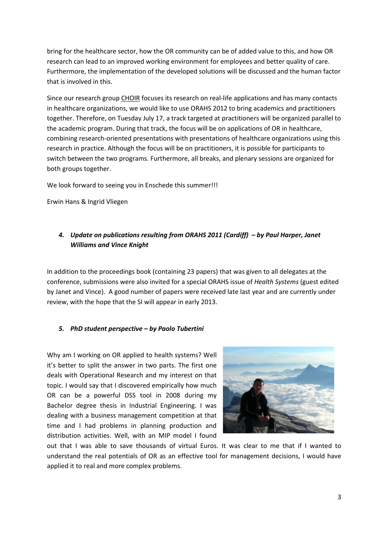bring for the healthcare sector, how the OR community can be of added value to this, and how OR research can lead to an improved working environment for employees and better quality of care. Furthermore, the implementation of the developed solutions will be discussed and the human factor that is involved in this.

Since our research group CHOIR focuses its research on real-life applications and has many contacts in healthcare organizations, we would like to use ORAHS 2012 to bring academics and practitioners together. Therefore, on Tuesday July 17, a track targeted at practitioners will be organized parallel to the academic program. During that track, the focus will be on applications of OR in healthcare, combining research-oriented presentations with presentations of healthcare organizations using this research in practice. Although the focus will be on practitioners, it is possible for participants to switch between the two programs. Furthermore, all breaks, and plenary sessions are organized for both groups together.

We look forward to seeing you in Enschede this summer!!!

Erwin Hans & Ingrid Vliegen

### 4. Update on publications resulting from ORAHS 2011 (Cardiff) – by Paul Harper, Janet Williams and Vince Knight

In addition to the proceedings book (containing 23 papers) that was given to all delegates at the conference, submissions were also invited for a special ORAHS issue of Health Systems (guest edited by Janet and Vince). A good number of papers were received late last year and are currently under review, with the hope that the SI will appear in early 2013.

#### 5. PhD student perspective – by Paolo Tubertini

Why am I working on OR applied to health systems? Well it's better to split the answer in two parts. The first one deals with Operational Research and my interest on that topic. I would say that I discovered empirically how much OR can be a powerful DSS tool in 2008 during my Bachelor degree thesis in Industrial Engineering. I was dealing with a business management competition at that time and I had problems in planning production and distribution activities. Well, with an MIP model I found



out that I was able to save thousands of virtual Euros. It was clear to me that if I wanted to understand the real potentials of OR as an effective tool for management decisions, I would have applied it to real and more complex problems.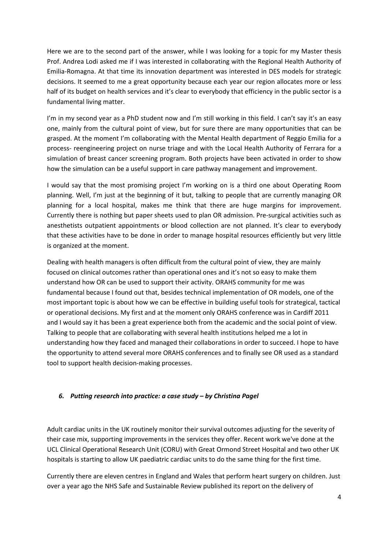Here we are to the second part of the answer, while I was looking for a topic for my Master thesis Prof. Andrea Lodi asked me if I was interested in collaborating with the Regional Health Authority of Emilia-Romagna. At that time its innovation department was interested in DES models for strategic decisions. It seemed to me a great opportunity because each year our region allocates more or less half of its budget on health services and it's clear to everybody that efficiency in the public sector is a fundamental living matter.

I'm in my second year as a PhD student now and I'm still working in this field. I can't say it's an easy one, mainly from the cultural point of view, but for sure there are many opportunities that can be grasped. At the moment I'm collaborating with the Mental Health department of Reggio Emilia for a process- reengineering project on nurse triage and with the Local Health Authority of Ferrara for a simulation of breast cancer screening program. Both projects have been activated in order to show how the simulation can be a useful support in care pathway management and improvement.

I would say that the most promising project I'm working on is a third one about Operating Room planning. Well, I'm just at the beginning of it but, talking to people that are currently managing OR planning for a local hospital, makes me think that there are huge margins for improvement. Currently there is nothing but paper sheets used to plan OR admission. Pre-surgical activities such as anesthetists outpatient appointments or blood collection are not planned. It's clear to everybody that these activities have to be done in order to manage hospital resources efficiently but very little is organized at the moment.

Dealing with health managers is often difficult from the cultural point of view, they are mainly focused on clinical outcomes rather than operational ones and it's not so easy to make them understand how OR can be used to support their activity. ORAHS community for me was fundamental because I found out that, besides technical implementation of OR models, one of the most important topic is about how we can be effective in building useful tools for strategical, tactical or operational decisions. My first and at the moment only ORAHS conference was in Cardiff 2011 and I would say it has been a great experience both from the academic and the social point of view. Talking to people that are collaborating with several health institutions helped me a lot in understanding how they faced and managed their collaborations in order to succeed. I hope to have the opportunity to attend several more ORAHS conferences and to finally see OR used as a standard tool to support health decision-making processes.

#### 6. Putting research into practice: a case study – by Christina Pagel

Adult cardiac units in the UK routinely monitor their survival outcomes adjusting for the severity of their case mix, supporting improvements in the services they offer. Recent work we've done at the UCL Clinical Operational Research Unit (CORU) with Great Ormond Street Hospital and two other UK hospitals is starting to allow UK paediatric cardiac units to do the same thing for the first time.

Currently there are eleven centres in England and Wales that perform heart surgery on children. Just over a year ago the NHS Safe and Sustainable Review published its report on the delivery of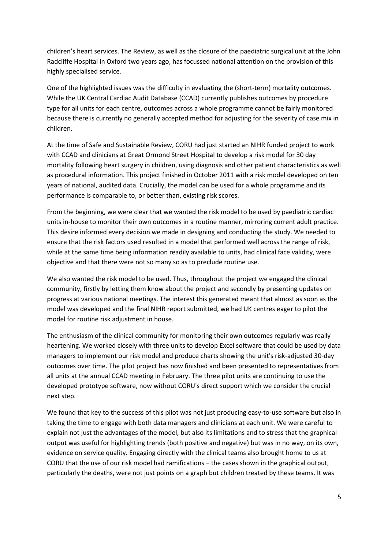children's heart services. The Review, as well as the closure of the paediatric surgical unit at the John Radcliffe Hospital in Oxford two years ago, has focussed national attention on the provision of this highly specialised service.

One of the highlighted issues was the difficulty in evaluating the (short-term) mortality outcomes. While the UK Central Cardiac Audit Database (CCAD) currently publishes outcomes by procedure type for all units for each centre, outcomes across a whole programme cannot be fairly monitored because there is currently no generally accepted method for adjusting for the severity of case mix in children.

At the time of Safe and Sustainable Review, CORU had just started an NIHR funded project to work with CCAD and clinicians at Great Ormond Street Hospital to develop a risk model for 30 day mortality following heart surgery in children, using diagnosis and other patient characteristics as well as procedural information. This project finished in October 2011 with a risk model developed on ten years of national, audited data. Crucially, the model can be used for a whole programme and its performance is comparable to, or better than, existing risk scores.

From the beginning, we were clear that we wanted the risk model to be used by paediatric cardiac units in-house to monitor their own outcomes in a routine manner, mirroring current adult practice. This desire informed every decision we made in designing and conducting the study. We needed to ensure that the risk factors used resulted in a model that performed well across the range of risk, while at the same time being information readily available to units, had clinical face validity, were objective and that there were not so many so as to preclude routine use.

We also wanted the risk model to be used. Thus, throughout the project we engaged the clinical community, firstly by letting them know about the project and secondly by presenting updates on progress at various national meetings. The interest this generated meant that almost as soon as the model was developed and the final NIHR report submitted, we had UK centres eager to pilot the model for routine risk adjustment in house.

The enthusiasm of the clinical community for monitoring their own outcomes regularly was really heartening. We worked closely with three units to develop Excel software that could be used by data managers to implement our risk model and produce charts showing the unit's risk-adjusted 30-day outcomes over time. The pilot project has now finished and been presented to representatives from all units at the annual CCAD meeting in February. The three pilot units are continuing to use the developed prototype software, now without CORU's direct support which we consider the crucial next step.

We found that key to the success of this pilot was not just producing easy-to-use software but also in taking the time to engage with both data managers and clinicians at each unit. We were careful to explain not just the advantages of the model, but also its limitations and to stress that the graphical output was useful for highlighting trends (both positive and negative) but was in no way, on its own, evidence on service quality. Engaging directly with the clinical teams also brought home to us at CORU that the use of our risk model had ramifications – the cases shown in the graphical output, particularly the deaths, were not just points on a graph but children treated by these teams. It was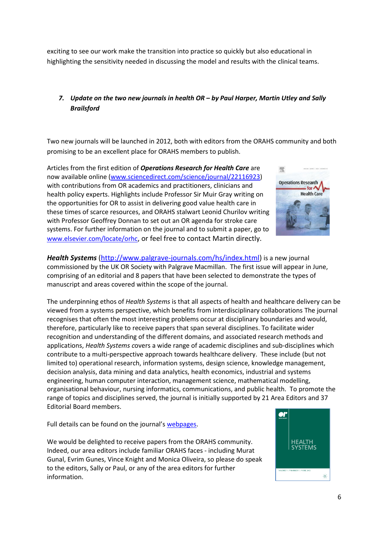exciting to see our work make the transition into practice so quickly but also educational in highlighting the sensitivity needed in discussing the model and results with the clinical teams.

## 7. Update on the two new journals in health OR – by Paul Harper, Martin Utley and Sally Brailsford

Two new journals will be launched in 2012, both with editors from the ORAHS community and both promising to be an excellent place for ORAHS members to publish.

Articles from the first edition of Operations Research for Health Care are now available online (www.sciencedirect.com/science/journal/22116923) with contributions from OR academics and practitioners, clinicians and health policy experts. Highlights include Professor Sir Muir Gray writing on the opportunities for OR to assist in delivering good value health care in these times of scarce resources, and ORAHS stalwart Leonid Churilov writing with Professor Geoffrey Donnan to set out an OR agenda for stroke care systems. For further information on the journal and to submit a paper, go to www.elsevier.com/locate/orhc, or feel free to contact Martin directly.



Health Systems (http://www.palgrave-journals.com/hs/index.html) is a new journal commissioned by the UK OR Society with Palgrave Macmillan. The first issue will appear in June, comprising of an editorial and 8 papers that have been selected to demonstrate the types of manuscript and areas covered within the scope of the journal.

The underpinning ethos of Health Systems is that all aspects of health and healthcare delivery can be viewed from a systems perspective, which benefits from interdisciplinary collaborations The journal recognises that often the most interesting problems occur at disciplinary boundaries and would, therefore, particularly like to receive papers that span several disciplines. To facilitate wider recognition and understanding of the different domains, and associated research methods and applications, Health Systems covers a wide range of academic disciplines and sub-disciplines which contribute to a multi-perspective approach towards healthcare delivery. These include (but not limited to) operational research, information systems, design science, knowledge management, decision analysis, data mining and data analytics, health economics, industrial and systems engineering, human computer interaction, management science, mathematical modelling, organisational behaviour, nursing informatics, communications, and public health. To promote the range of topics and disciplines served, the journal is initially supported by 21 Area Editors and 37 Editorial Board members.

Full details can be found on the journal's webpages.

We would be delighted to receive papers from the ORAHS community. Indeed, our area editors include familiar ORAHS faces - including Murat Gunal, Evrim Gunes, Vince Knight and Monica Oliveira, so please do speak to the editors, Sally or Paul, or any of the area editors for further information.

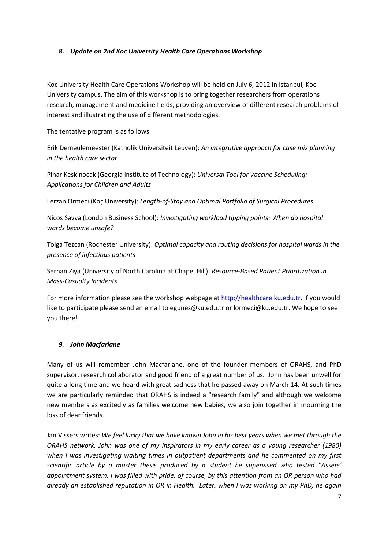#### 8. Update on 2nd Koc University Health Care Operations Workshop

Koc University Health Care Operations Workshop will be held on July 6, 2012 in Istanbul, Koc University campus. The aim of this workshop is to bring together researchers from operations research, management and medicine fields, providing an overview of different research problems of interest and illustrating the use of different methodologies.

The tentative program is as follows:

Erik Demeulemeester (Katholik Universiteit Leuven): An integrative approach for case mix planning in the health care sector

Pinar Keskinocak (Georgia Institute of Technology): Universal Tool for Vaccine Scheduling: Applications for Children and Adults

Lerzan Ormeci (Koç University): Length-of-Stay and Optimal Portfolio of Surgical Procedures

Nicos Savva (London Business School): Investigating workload tipping points: When do hospital wards become unsafe?

Tolga Tezcan (Rochester University): Optimal capacity and routing decisions for hospital wards in the presence of infectious patients

Serhan Ziya (University of North Carolina at Chapel Hill): Resource-Based Patient Prioritization in Mass-Casualty Incidents

For more information please see the workshop webpage at http://healthcare.ku.edu.tr. If you would like to participate please send an email to egunes@ku.edu.tr or lormeci@ku.edu.tr. We hope to see you there!

#### 9. John Macfarlane

Many of us will remember John Macfarlane, one of the founder members of ORAHS, and PhD supervisor, research collaborator and good friend of a great number of us. John has been unwell for quite a long time and we heard with great sadness that he passed away on March 14. At such times we are particularly reminded that ORAHS is indeed a "research family" and although we welcome new members as excitedly as families welcome new babies, we also join together in mourning the loss of dear friends.

Jan Vissers writes: We feel lucky that we have known John in his best years when we met through the ORAHS network. John was one of my inspirators in my early career as a young researcher (1980) when I was investigating waiting times in outpatient departments and he commented on my first scientific article by a master thesis produced by a student he supervised who tested 'Vissers' appointment system. I was filled with pride, of course, by this attention from an OR person who had already an established reputation in OR in Health. Later, when I was working on my PhD, he again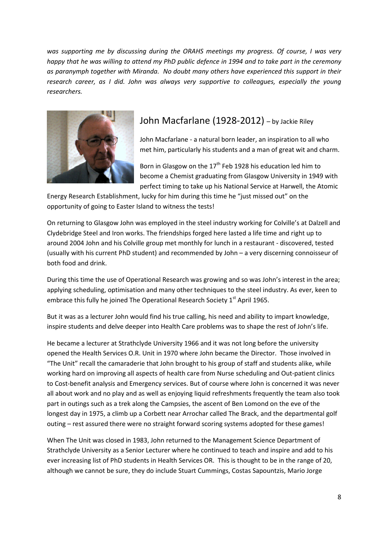was supporting me by discussing during the ORAHS meetings my progress. Of course, I was very happy that he was willing to attend my PhD public defence in 1994 and to take part in the ceremony as paranymph together with Miranda. No doubt many others have experienced this support in their research career, as I did. John was always very supportive to colleagues, especially the young researchers.



# John Macfarlane (1928-2012) - by Jackie Riley

John Macfarlane - a natural born leader, an inspiration to all who met him, particularly his students and a man of great wit and charm.

Born in Glasgow on the  $17<sup>th</sup>$  Feb 1928 his education led him to become a Chemist graduating from Glasgow University in 1949 with perfect timing to take up his National Service at Harwell, the Atomic

Energy Research Establishment, lucky for him during this time he "just missed out" on the opportunity of going to Easter Island to witness the tests!

On returning to Glasgow John was employed in the steel industry working for Colville's at Dalzell and Clydebridge Steel and Iron works. The friendships forged here lasted a life time and right up to around 2004 John and his Colville group met monthly for lunch in a restaurant - discovered, tested (usually with his current PhD student) and recommended by John – a very discerning connoisseur of both food and drink.

During this time the use of Operational Research was growing and so was John's interest in the area; applying scheduling, optimisation and many other techniques to the steel industry. As ever, keen to embrace this fully he joined The Operational Research Society 1<sup>st</sup> April 1965.

But it was as a lecturer John would find his true calling, his need and ability to impart knowledge, inspire students and delve deeper into Health Care problems was to shape the rest of John's life.

He became a lecturer at Strathclyde University 1966 and it was not long before the university opened the Health Services O.R. Unit in 1970 where John became the Director. Those involved in "The Unit" recall the camaraderie that John brought to his group of staff and students alike, while working hard on improving all aspects of health care from Nurse scheduling and Out-patient clinics to Cost-benefit analysis and Emergency services. But of course where John is concerned it was never all about work and no play and as well as enjoying liquid refreshments frequently the team also took part in outings such as a trek along the Campsies, the ascent of Ben Lomond on the eve of the longest day in 1975, a climb up a Corbett near Arrochar called The Brack, and the departmental golf outing – rest assured there were no straight forward scoring systems adopted for these games!

When The Unit was closed in 1983, John returned to the Management Science Department of Strathclyde University as a Senior Lecturer where he continued to teach and inspire and add to his ever increasing list of PhD students in Health Services OR. This is thought to be in the range of 20, although we cannot be sure, they do include Stuart Cummings, Costas Sapountzis, Mario Jorge